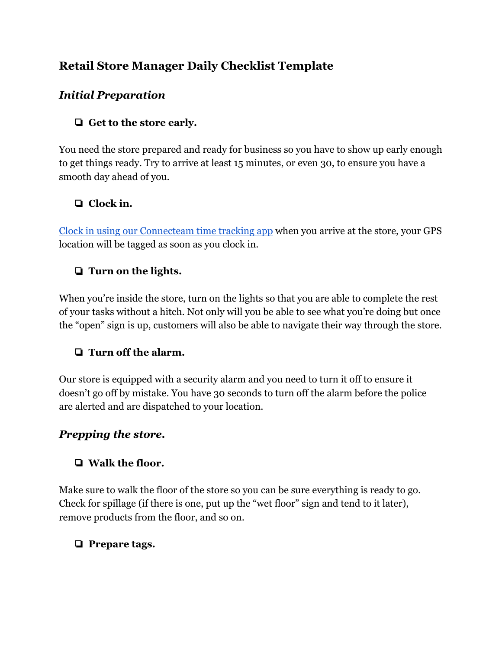# **Retail Store Manager Daily Checklist Template**

## *Initial Preparation*

## ❏ **Get to the store early.**

You need the store prepared and ready for business so you have to show up early enough to get things ready. Try to arrive at least 15 minutes, or even 30, to ensure you have a smooth day ahead of you.

## ❏ **Clock in.**

[Clock in using our Connecteam time tracking app](https://connecteam.com/employee-time-clock-app/) when you arrive at the store, your GPS location will be tagged as soon as you clock in.

## ❏ **Turn on the lights.**

When you're inside the store, turn on the lights so that you are able to complete the rest of your tasks without a hitch. Not only will you be able to see what you're doing but once the "open" sign is up, customers will also be able to navigate their way through the store.

### ❏ **Turn off the alarm.**

Our store is equipped with a security alarm and you need to turn it off to ensure it doesn't go off by mistake. You have 30 seconds to turn off the alarm before the police are alerted and are dispatched to your location.

### *Prepping the store.*

## ❏ **Walk the floor.**

Make sure to walk the floor of the store so you can be sure everything is ready to go. Check for spillage (if there is one, put up the "wet floor" sign and tend to it later), remove products from the floor, and so on.

## ❏ **Prepare tags.**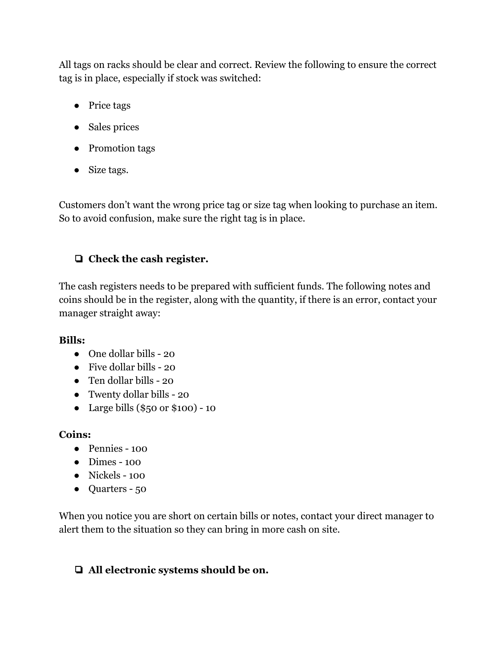All tags on racks should be clear and correct. Review the following to ensure the correct tag is in place, especially if stock was switched:

- Price tags
- Sales prices
- Promotion tags
- Size tags.

Customers don't want the wrong price tag or size tag when looking to purchase an item. So to avoid confusion, make sure the right tag is in place.

## ❏ **Check the cash register.**

The cash registers needs to be prepared with sufficient funds. The following notes and coins should be in the register, along with the quantity, if there is an error, contact your manager straight away:

### **Bills:**

- One dollar bills 20
- Five dollar bills 20
- Ten dollar bills 20
- Twenty dollar bills 20
- Large bills (\$50 or \$100) 10

### **Coins:**

- Pennies 100
- Dimes 100
- Nickels 100
- Quarters 50

When you notice you are short on certain bills or notes, contact your direct manager to alert them to the situation so they can bring in more cash on site.

## ❏ **All electronic systems should be on.**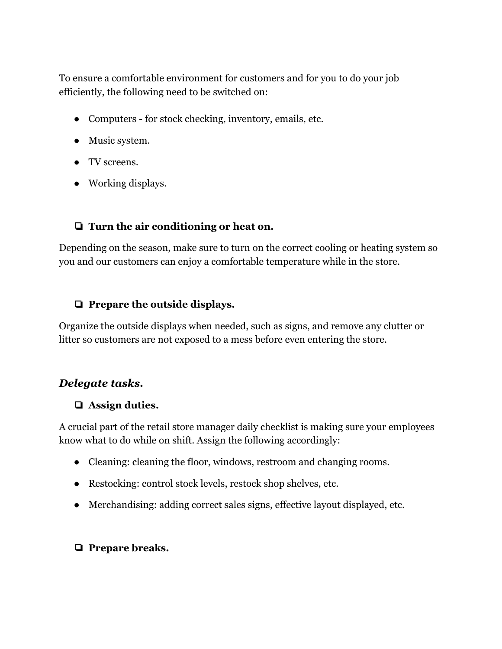To ensure a comfortable environment for customers and for you to do your job efficiently, the following need to be switched on:

- Computers for stock checking, inventory, emails, etc.
- Music system.
- TV screens.
- Working displays.

#### ❏ **Turn the air conditioning or heat on.**

Depending on the season, make sure to turn on the correct cooling or heating system so you and our customers can enjoy a comfortable temperature while in the store.

#### ❏ **Prepare the outside displays.**

Organize the outside displays when needed, such as signs, and remove any clutter or litter so customers are not exposed to a mess before even entering the store.

### *Delegate tasks.*

#### ❏ **Assign duties.**

A crucial part of the retail store manager daily checklist is making sure your employees know what to do while on shift. Assign the following accordingly:

- Cleaning: cleaning the floor, windows, restroom and changing rooms.
- Restocking: control stock levels, restock shop shelves, etc.
- Merchandising: adding correct sales signs, effective layout displayed, etc.

### ❏ **Prepare breaks.**